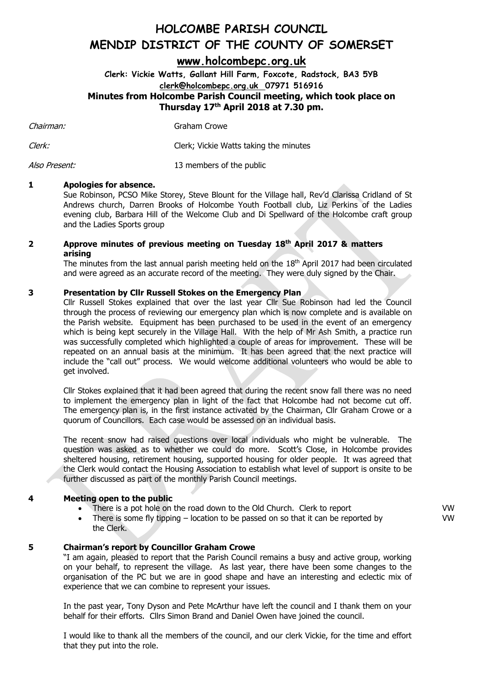### **[www.holcombepc.org.uk](http://www.holcombepc.org.uk/)**

**Clerk: Vickie Watts, Gallant Hill Farm, Foxcote, Radstock, BA3 5YB [clerk@holcombepc.org.uk](mailto:victoriawatts@orange.net) 07971 516916 Minutes from Holcombe Parish Council meeting, which took place on Thursday 17 th April 2018 at 7.30 pm.**

Chairman:

Graham Crowe

Clerk: Clerk; Vickie Watts taking the minutes

Also Present: 13 members of the public

#### **1 Apologies for absence.**

Sue Robinson, PCSO Mike Storey, Steve Blount for the Village hall, Rev'd Clarissa Cridland of St Andrews church, Darren Brooks of Holcombe Youth Football club, Liz Perkins of the Ladies evening club, Barbara Hill of the Welcome Club and Di Spellward of the Holcombe craft group and the Ladies Sports group

#### **2 Approve minutes of previous meeting on Tuesday 18 th April 2017 & matters arising**

The minutes from the last annual parish meeting held on the  $18<sup>th</sup>$  April 2017 had been circulated and were agreed as an accurate record of the meeting. They were duly signed by the Chair.

#### **3 Presentation by Cllr Russell Stokes on the Emergency Plan**

Cllr Russell Stokes explained that over the last year Cllr Sue Robinson had led the Council through the process of reviewing our emergency plan which is now complete and is available on the Parish website. Equipment has been purchased to be used in the event of an emergency which is being kept securely in the Village Hall. With the help of Mr Ash Smith, a practice run was successfully completed which highlighted a couple of areas for improvement. These will be repeated on an annual basis at the minimum. It has been agreed that the next practice will include the "call out" process. We would welcome additional volunteers who would be able to get involved.

Cllr Stokes explained that it had been agreed that during the recent snow fall there was no need to implement the emergency plan in light of the fact that Holcombe had not become cut off. The emergency plan is, in the first instance activated by the Chairman, Cllr Graham Crowe or a quorum of Councillors. Each case would be assessed on an individual basis.

The recent snow had raised questions over local individuals who might be vulnerable. The question was asked as to whether we could do more. Scott's Close, in Holcombe provides sheltered housing, retirement housing, supported housing for older people. It was agreed that the Clerk would contact the Housing Association to establish what level of support is onsite to be further discussed as part of the monthly Parish Council meetings.

#### **4 Meeting open to the public**

- There is a pot hole on the road down to the Old Church. Clerk to report
- There is some fly tipping  $-$  location to be passed on so that it can be reported by the Clerk.

#### **5 Chairman's report by Councillor Graham Crowe**

"I am again, pleased to report that the Parish Council remains a busy and active group, working on your behalf, to represent the village. As last year, there have been some changes to the organisation of the PC but we are in good shape and have an interesting and eclectic mix of experience that we can combine to represent your issues.

In the past year, Tony Dyson and Pete McArthur have left the council and I thank them on your behalf for their efforts. Cllrs Simon Brand and Daniel Owen have joined the council.

I would like to thank all the members of the council, and our clerk Vickie, for the time and effort that they put into the role.

VW VW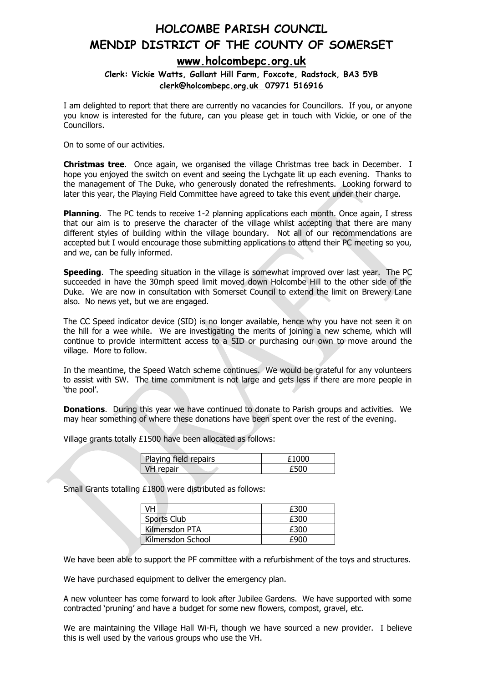### **[www.holcombepc.org.uk](http://www.holcombepc.org.uk/)**

#### **Clerk: Vickie Watts, Gallant Hill Farm, Foxcote, Radstock, BA3 5YB [clerk@holcombepc.org.uk](mailto:victoriawatts@orange.net) 07971 516916**

I am delighted to report that there are currently no vacancies for Councillors. If you, or anyone you know is interested for the future, can you please get in touch with Vickie, or one of the Councillors.

On to some of our activities.

**Christmas tree**. Once again, we organised the village Christmas tree back in December. I hope you enjoyed the switch on event and seeing the Lychgate lit up each evening. Thanks to the management of The Duke, who generously donated the refreshments. Looking forward to later this year, the Playing Field Committee have agreed to take this event under their charge.

**Planning**. The PC tends to receive 1-2 planning applications each month. Once again, I stress that our aim is to preserve the character of the village whilst accepting that there are many different styles of building within the village boundary. Not all of our recommendations are accepted but I would encourage those submitting applications to attend their PC meeting so you, and we, can be fully informed.

**Speeding**. The speeding situation in the village is somewhat improved over last year. The PC succeeded in have the 30mph speed limit moved down Holcombe Hill to the other side of the Duke. We are now in consultation with Somerset Council to extend the limit on Brewery Lane also. No news yet, but we are engaged.

The CC Speed indicator device (SID) is no longer available, hence why you have not seen it on the hill for a wee while. We are investigating the merits of joining a new scheme, which will continue to provide intermittent access to a SID or purchasing our own to move around the village. More to follow.

In the meantime, the Speed Watch scheme continues. We would be grateful for any volunteers to assist with SW. The time commitment is not large and gets less if there are more people in 'the pool'.

**Donations.** During this year we have continued to donate to Parish groups and activities. We may hear something of where these donations have been spent over the rest of the evening.

Village grants totally £1500 have been allocated as follows:

| Playing field repairs |  |
|-----------------------|--|
| VH repair             |  |

Small Grants totalling £1800 were distributed as follows:

| /H                | £300 |
|-------------------|------|
| Sports Club       | £300 |
| Kilmersdon PTA    | £300 |
| Kilmersdon School | taur |

We have been able to support the PF committee with a refurbishment of the toys and structures.

We have purchased equipment to deliver the emergency plan.

A new volunteer has come forward to look after Jubilee Gardens. We have supported with some contracted 'pruning' and have a budget for some new flowers, compost, gravel, etc.

We are maintaining the Village Hall Wi-Fi, though we have sourced a new provider. I believe this is well used by the various groups who use the VH.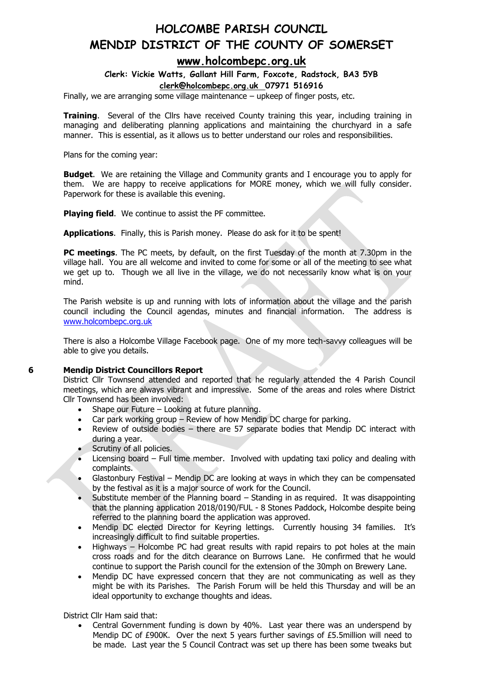### **[www.holcombepc.org.uk](http://www.holcombepc.org.uk/)**

**Clerk: Vickie Watts, Gallant Hill Farm, Foxcote, Radstock, BA3 5YB [clerk@holcombepc.org.uk](mailto:victoriawatts@orange.net) 07971 516916**

Finally, we are arranging some village maintenance – upkeep of finger posts, etc.

**Training**. Several of the Cllrs have received County training this year, including training in managing and deliberating planning applications and maintaining the churchyard in a safe manner. This is essential, as it allows us to better understand our roles and responsibilities.

Plans for the coming year:

**Budget**. We are retaining the Village and Community grants and I encourage you to apply for them. We are happy to receive applications for MORE money, which we will fully consider. Paperwork for these is available this evening.

**Playing field.** We continue to assist the PF committee.

**Applications**. Finally, this is Parish money. Please do ask for it to be spent!

**PC meetings**. The PC meets, by default, on the first Tuesday of the month at 7.30pm in the village hall. You are all welcome and invited to come for some or all of the meeting to see what we get up to. Though we all live in the village, we do not necessarily know what is on your mind.

The Parish website is up and running with lots of information about the village and the parish council including the Council agendas, minutes and financial information. The address is [www.holcombepc.org.uk](http://www.holcombepc.org.uk/)

There is also a Holcombe Village Facebook page. One of my more tech-savvy colleagues will be able to give you details.

#### **6 Mendip District Councillors Report**

District Cllr Townsend attended and reported that he regularly attended the 4 Parish Council meetings, which are always vibrant and impressive. Some of the areas and roles where District Cllr Townsend has been involved:

- Shape our Future Looking at future planning.
- Car park working group Review of how Mendip DC charge for parking.
- Review of outside bodies there are 57 separate bodies that Mendip DC interact with during a year.
- Scrutiny of all policies.
- Licensing board Full time member. Involved with updating taxi policy and dealing with complaints.
- Glastonbury Festival Mendip DC are looking at ways in which they can be compensated by the festival as it is a major source of work for the Council.
- Substitute member of the Planning board  $-$  Standing in as required. It was disappointing that the planning application 2018/0190/FUL - 8 Stones Paddock, Holcombe despite being referred to the planning board the application was approved.
- Mendip DC elected Director for Keyring lettings. Currently housing 34 families. It's increasingly difficult to find suitable properties.
- Highways Holcombe PC had great results with rapid repairs to pot holes at the main cross roads and for the ditch clearance on Burrows Lane. He confirmed that he would continue to support the Parish council for the extension of the 30mph on Brewery Lane.
- Mendip DC have expressed concern that they are not communicating as well as they might be with its Parishes. The Parish Forum will be held this Thursday and will be an ideal opportunity to exchange thoughts and ideas.

District Cllr Ham said that:

• Central Government funding is down by 40%. Last year there was an underspend by Mendip DC of £900K. Over the next 5 years further savings of £5.5million will need to be made. Last year the 5 Council Contract was set up there has been some tweaks but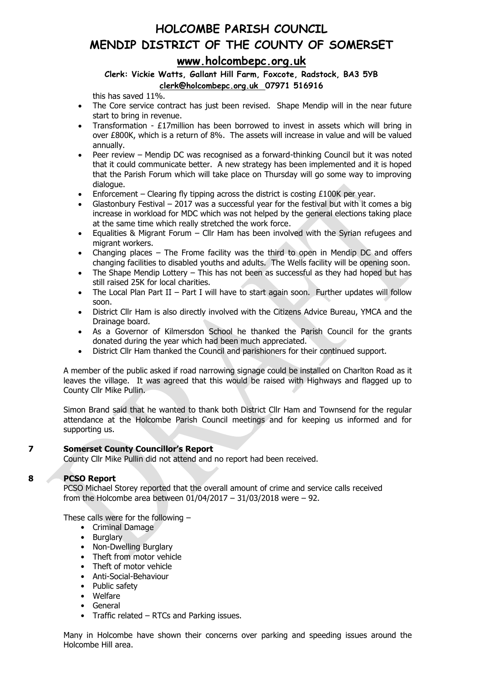## **HOLCOMBE PARISH COUNCIL MENDIP DISTRICT OF THE COUNTY OF SOMERSET [www.holcombepc.org.uk](http://www.holcombepc.org.uk/)**

#### **Clerk: Vickie Watts, Gallant Hill Farm, Foxcote, Radstock, BA3 5YB [clerk@holcombepc.org.uk](mailto:victoriawatts@orange.net) 07971 516916**

this has saved 11%.

- The Core service contract has just been revised. Shape Mendip will in the near future start to bring in revenue.
- Transformation  $£17$ million has been borrowed to invest in assets which will bring in over £800K, which is a return of 8%. The assets will increase in value and will be valued annually.
- Peer review Mendip DC was recognised as a forward-thinking Council but it was noted that it could communicate better. A new strategy has been implemented and it is hoped that the Parish Forum which will take place on Thursday will go some way to improving dialogue.
- Enforcement Clearing fly tipping across the district is costing  $£100K$  per year.
- Glastonbury Festival 2017 was a successful year for the festival but with it comes a big increase in workload for MDC which was not helped by the general elections taking place at the same time which really stretched the work force.
- Equalities & Migrant Forum Cllr Ham has been involved with the Syrian refugees and migrant workers.
- Changing places The Frome facility was the third to open in Mendip DC and offers changing facilities to disabled youths and adults. The Wells facility will be opening soon.
- The Shape Mendip Lottery  $-$  This has not been as successful as they had hoped but has still raised 25K for local charities.
- The Local Plan Part II Part I will have to start again soon. Further updates will follow soon.
- District Cllr Ham is also directly involved with the Citizens Advice Bureau, YMCA and the Drainage board.
- As a Governor of Kilmersdon School he thanked the Parish Council for the grants donated during the year which had been much appreciated.
- District Cllr Ham thanked the Council and parishioners for their continued support.

A member of the public asked if road narrowing signage could be installed on Charlton Road as it leaves the village. It was agreed that this would be raised with Highways and flagged up to County Cllr Mike Pullin.

Simon Brand said that he wanted to thank both District Cllr Ham and Townsend for the regular attendance at the Holcombe Parish Council meetings and for keeping us informed and for supporting us.

#### **7 Somerset County Councillor's Report**

County Cllr Mike Pullin did not attend and no report had been received.

#### **8 PCSO Report**

PCSO Michael Storey reported that the overall amount of crime and service calls received from the Holcombe area between 01/04/2017 – 31/03/2018 were – 92.

These calls were for the following –

- Criminal Damage
- Burglary
- Non-Dwelling Burglary
- Theft from motor vehicle
- Theft of motor vehicle
- Anti-Social-Behaviour
- Public safety
- Welfare
- **General**
- Traffic related RTCs and Parking issues.

Many in Holcombe have shown their concerns over parking and speeding issues around the Holcombe Hill area.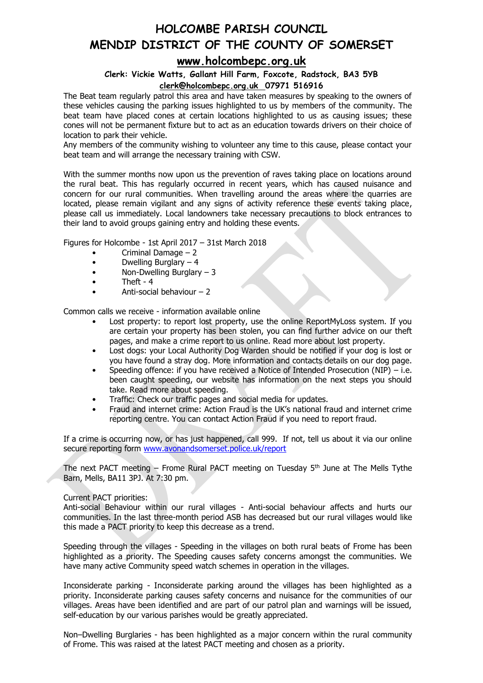## **[www.holcombepc.org.uk](http://www.holcombepc.org.uk/)**

#### **Clerk: Vickie Watts, Gallant Hill Farm, Foxcote, Radstock, BA3 5YB [clerk@holcombepc.org.uk](mailto:victoriawatts@orange.net) 07971 516916**

The Beat team regularly patrol this area and have taken measures by speaking to the owners of these vehicles causing the parking issues highlighted to us by members of the community. The beat team have placed cones at certain locations highlighted to us as causing issues; these cones will not be permanent fixture but to act as an education towards drivers on their choice of location to park their vehicle.

Any members of the community wishing to volunteer any time to this cause, please contact your beat team and will arrange the necessary training with CSW.

With the summer months now upon us the prevention of raves taking place on locations around the rural beat. This has regularly occurred in recent years, which has caused nuisance and concern for our rural communities. When travelling around the areas where the quarries are located, please remain vigilant and any signs of activity reference these events taking place, please call us immediately. Local landowners take necessary precautions to block entrances to their land to avoid groups gaining entry and holding these events.

Figures for Holcombe - 1st April 2017 – 31st March 2018

- Criminal Damage 2
- $\bullet$  Dwelling Burglary  $-4$
- Non-Dwelling Burglary 3
- Theft 4
- Anti-social behaviour 2

Common calls we receive - information available online

- Lost property: to report lost property, use the online ReportMyLoss system. If you are certain your property has been stolen, you can find further advice on our theft pages, and make a crime report to us online. Read more about lost property.
- Lost dogs: your Local Authority Dog Warden should be notified if your dog is lost or you have found a stray dog. More information and contacts details on our dog page.
- Speeding offence: if you have received a Notice of Intended Prosecution (NIP) i.e. been caught speeding, our website has information on the next steps you should take. Read more about speeding.
- Traffic: Check our traffic pages and social media for updates.
- Fraud and internet crime: Action Fraud is the UK's national fraud and internet crime reporting centre. You can contact Action Fraud if you need to report fraud.

If a crime is occurring now, or has just happened, call 999. If not, tell us about it via our online secure reporting form [www.avonandsomerset.police.uk/report](http://www.avonandsomerset.police.uk/report)

The next PACT meeting  $-$  Frome Rural PACT meeting on Tuesday  $5<sup>th</sup>$  June at The Mells Tythe Barn, Mells, BA11 3PJ. At 7:30 pm.

#### Current PACT priorities:

Anti-social Behaviour within our rural villages - Anti-social behaviour affects and hurts our communities. In the last three-month period ASB has decreased but our rural villages would like this made a PACT priority to keep this decrease as a trend.

Speeding through the villages - Speeding in the villages on both rural beats of Frome has been highlighted as a priority. The Speeding causes safety concerns amongst the communities. We have many active Community speed watch schemes in operation in the villages.

Inconsiderate parking - Inconsiderate parking around the villages has been highlighted as a priority. Inconsiderate parking causes safety concerns and nuisance for the communities of our villages. Areas have been identified and are part of our patrol plan and warnings will be issued, self-education by our various parishes would be greatly appreciated.

Non–Dwelling Burglaries - has been highlighted as a major concern within the rural community of Frome. This was raised at the latest PACT meeting and chosen as a priority.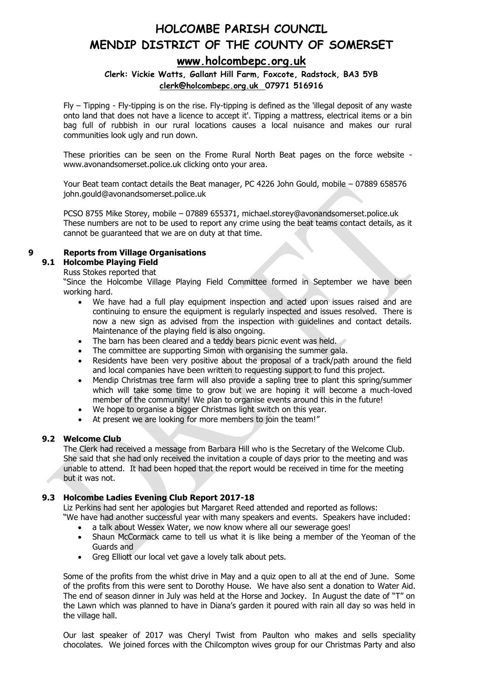### **[www.holcombepc.org.uk](http://www.holcombepc.org.uk/)**

#### **Clerk: Vickie Watts, Gallant Hill Farm, Foxcote, Radstock, BA3 5YB [clerk@holcombepc.org.uk](mailto:victoriawatts@orange.net) 07971 516916**

Fly – Tipping - Fly-tipping is on the rise. Fly-tipping is defined as the 'illegal deposit of any waste onto land that does not have a licence to accept it'. Tipping a mattress, electrical items or a bin bag full of rubbish in our rural locations causes a local nuisance and makes our rural communities look ugly and run down.

These priorities can be seen on the Frome Rural North Beat pages on the force website www.avonandsomerset.police.uk clicking onto your area.

Your Beat team contact details the Beat manager, PC 4226 John Gould, mobile – 07889 658576 john.gould@avonandsomerset.police.uk

PCSO 8755 Mike Storey, mobile – 07889 655371, michael.storey@avonandsomerset.police.uk These numbers are not to be used to report any crime using the beat teams contact details, as it cannot be guaranteed that we are on duty at that time.

#### **9 Reports from Village Organisations**

#### **9.1 Holcombe Playing Field**

#### Russ Stokes reported that

"Since the Holcombe Village Playing Field Committee formed in September we have been working hard.

- We have had a full play equipment inspection and acted upon issues raised and are continuing to ensure the equipment is regularly inspected and issues resolved. There is now a new sign as advised from the inspection with guidelines and contact details. Maintenance of the playing field is also ongoing.
- The barn has been cleared and a teddy bears picnic event was held.
- The committee are supporting Simon with organising the summer gala.
- Residents have been very positive about the proposal of a track/path around the field and local companies have been written to requesting support to fund this project.
- Mendip Christmas tree farm will also provide a sapling tree to plant this spring/summer which will take some time to grow but we are hoping it will become a much-loved member of the community! We plan to organise events around this in the future!
- We hope to organise a bigger Christmas light switch on this year.
- At present we are looking for more members to join the team!"

#### **9.2 Welcome Club**

The Clerk had received a message from Barbara Hill who is the Secretary of the Welcome Club. She said that she had only received the invitation a couple of days prior to the meeting and was unable to attend. It had been hoped that the report would be received in time for the meeting but it was not.

#### **9.3 Holcombe Ladies Evening Club Report 2017-18**

Liz Perkins had sent her apologies but Margaret Reed attended and reported as follows:

"We have had another successful year with many speakers and events. Speakers have included: a talk about Wessex Water, we now know where all our sewerage goes!

- Shaun McCormack came to tell us what it is like being a member of the Yeoman of the Guards and
- Greg Elliott our local vet gave a lovely talk about pets.

Some of the profits from the whist drive in May and a quiz open to all at the end of June. Some of the profits from this were sent to Dorothy House. We have also sent a donation to Water Aid. The end of season dinner in July was held at the Horse and Jockey. In August the date of "T" on the Lawn which was planned to have in Diana's garden it poured with rain all day so was held in the village hall.

Our last speaker of 2017 was Cheryl Twist from Paulton who makes and sells speciality chocolates. We joined forces with the Chilcompton wives group for our Christmas Party and also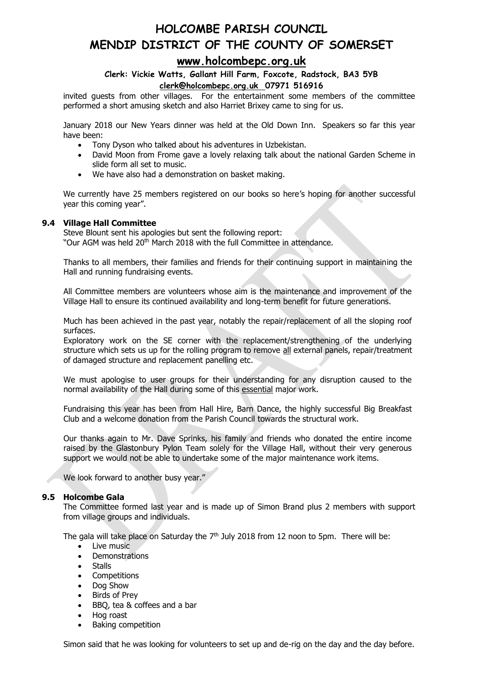### **[www.holcombepc.org.uk](http://www.holcombepc.org.uk/)**

#### **Clerk: Vickie Watts, Gallant Hill Farm, Foxcote, Radstock, BA3 5YB [clerk@holcombepc.org.uk](mailto:victoriawatts@orange.net) 07971 516916**

invited guests from other villages. For the entertainment some members of the committee performed a short amusing sketch and also Harriet Brixey came to sing for us.

January 2018 our New Years dinner was held at the Old Down Inn. Speakers so far this year have been:

- Tony Dyson who talked about his adventures in Uzbekistan.
- David Moon from Frome gave a lovely relaxing talk about the national Garden Scheme in slide form all set to music.
- We have also had a demonstration on basket making.

We currently have 25 members registered on our books so here's hoping for another successful year this coming year".

#### **9.4 Village Hall Committee**

Steve Blount sent his apologies but sent the following report: "Our AGM was held 20<sup>th</sup> March 2018 with the full Committee in attendance.

Thanks to all members, their families and friends for their continuing support in maintaining the Hall and running fundraising events.

All Committee members are volunteers whose aim is the maintenance and improvement of the Village Hall to ensure its continued availability and long-term benefit for future generations.

Much has been achieved in the past year, notably the repair/replacement of all the sloping roof surfaces.

Exploratory work on the SE corner with the replacement/strengthening of the underlying structure which sets us up for the rolling program to remove all external panels, repair/treatment of damaged structure and replacement panelling etc.

We must apologise to user groups for their understanding for any disruption caused to the normal availability of the Hall during some of this essential major work.

Fundraising this year has been from Hall Hire, Barn Dance, the highly successful Big Breakfast Club and a welcome donation from the Parish Council towards the structural work.

Our thanks again to Mr. Dave Sprinks, his family and friends who donated the entire income raised by the Glastonbury Pylon Team solely for the Village Hall, without their very generous support we would not be able to undertake some of the major maintenance work items.

We look forward to another busy year."

#### **9.5 Holcombe Gala**

The Committee formed last year and is made up of Simon Brand plus 2 members with support from village groups and individuals.

The gala will take place on Saturday the 7<sup>th</sup> July 2018 from 12 noon to 5pm. There will be:

- Live music
- **Demonstrations**
- **Stalls**
- Competitions
- Dog Show
- Birds of Prey
- BBQ, tea & coffees and a bar
- Hog roast
- Baking competition

Simon said that he was looking for volunteers to set up and de-rig on the day and the day before.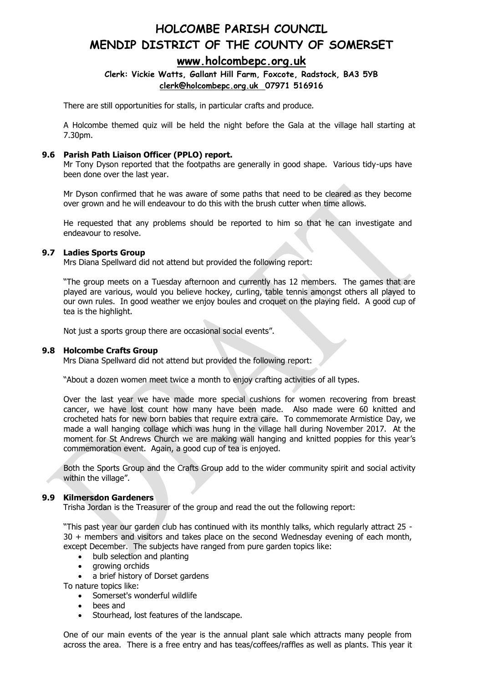### **[www.holcombepc.org.uk](http://www.holcombepc.org.uk/)**

#### **Clerk: Vickie Watts, Gallant Hill Farm, Foxcote, Radstock, BA3 5YB [clerk@holcombepc.org.uk](mailto:victoriawatts@orange.net) 07971 516916**

There are still opportunities for stalls, in particular crafts and produce.

A Holcombe themed quiz will be held the night before the Gala at the village hall starting at 7.30pm.

#### **9.6 Parish Path Liaison Officer (PPLO) report.**

Mr Tony Dyson reported that the footpaths are generally in good shape. Various tidy-ups have been done over the last year.

Mr Dyson confirmed that he was aware of some paths that need to be cleared as they become over grown and he will endeavour to do this with the brush cutter when time allows.

He requested that any problems should be reported to him so that he can investigate and endeavour to resolve.

#### **9.7 Ladies Sports Group**

Mrs Diana Spellward did not attend but provided the following report:

"The group meets on a Tuesday afternoon and currently has 12 members. The games that are played are various, would you believe hockey, curling, table tennis amongst others all played to our own rules. In good weather we enjoy boules and croquet on the playing field. A good cup of tea is the highlight.

Not just a sports group there are occasional social events".

#### **9.8 Holcombe Crafts Group**

Mrs Diana Spellward did not attend but provided the following report:

"About a dozen women meet twice a month to enjoy crafting activities of all types.

Over the last year we have made more special cushions for women recovering from breast cancer, we have lost count how many have been made. Also made were 60 knitted and crocheted hats for new born babies that require extra care. To commemorate Armistice Day, we made a wall hanging collage which was hung in the village hall during November 2017. At the moment for St Andrews Church we are making wall hanging and knitted poppies for this year's commemoration event. Again, a good cup of tea is enjoyed.

Both the Sports Group and the Crafts Group add to the wider community spirit and social activity within the village".

#### **9.9 Kilmersdon Gardeners**

Trisha Jordan is the Treasurer of the group and read the out the following report:

"This past year our garden club has continued with its monthly talks, which regularly attract 25 - 30 + members and visitors and takes place on the second Wednesday evening of each month, except December. The subjects have ranged from pure garden topics like:

- bulb selection and planting
- growing orchids
- a brief history of Dorset gardens

To nature topics like:

- Somerset's wonderful wildlife
- bees and
- Stourhead, lost features of the landscape.

One of our main events of the year is the annual plant sale which attracts many people from across the area. There is a free entry and has teas/coffees/raffles as well as plants. This year it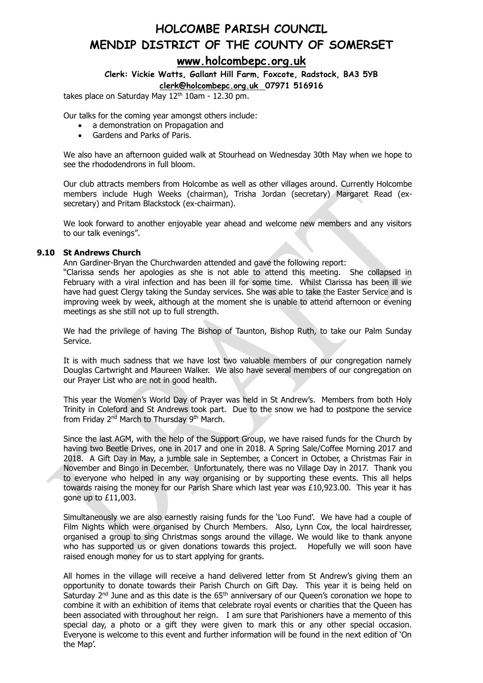## **HOLCOMBE PARISH COUNCIL MENDIP DISTRICT OF THE COUNTY OF SOMERSET [www.holcombepc.org.uk](http://www.holcombepc.org.uk/)**

## **Clerk: Vickie Watts, Gallant Hill Farm, Foxcote, Radstock, BA3 5YB**

#### **[clerk@holcombepc.org.uk](mailto:victoriawatts@orange.net) 07971 516916**

takes place on Saturday May 12<sup>th</sup> 10am - 12.30 pm.

Our talks for the coming year amongst others include:

- a demonstration on Propagation and
- Gardens and Parks of Paris.

We also have an afternoon guided walk at Stourhead on Wednesday 30th May when we hope to see the rhododendrons in full bloom.

Our club attracts members from Holcombe as well as other villages around. Currently Holcombe members include Hugh Weeks (chairman), Trisha Jordan (secretary) Margaret Read (exsecretary) and Pritam Blackstock (ex-chairman).

We look forward to another enjoyable year ahead and welcome new members and any visitors to our talk evenings".

#### **9.10 St Andrews Church**

Ann Gardiner-Bryan the Churchwarden attended and gave the following report:

"Clarissa sends her apologies as she is not able to attend this meeting. She collapsed in February with a viral infection and has been ill for some time. Whilst Clarissa has been ill we have had guest Clergy taking the Sunday services. She was able to take the Easter Service and is improving week by week, although at the moment she is unable to attend afternoon or evening meetings as she still not up to full strength.

We had the privilege of having The Bishop of Taunton, Bishop Ruth, to take our Palm Sunday Service.

It is with much sadness that we have lost two valuable members of our congregation namely Douglas Cartwright and Maureen Walker. We also have several members of our congregation on our Prayer List who are not in good health.

This year the Women's World Day of Prayer was held in St Andrew's. Members from both Holy Trinity in Coleford and St Andrews took part. Due to the snow we had to postpone the service from Friday 2<sup>nd</sup> March to Thursday 9<sup>th</sup> March.

Since the last AGM, with the help of the Support Group, we have raised funds for the Church by having two Beetle Drives, one in 2017 and one in 2018. A Spring Sale/Coffee Morning 2017 and 2018. A Gift Day in May, a jumble sale in September, a Concert in October, a Christmas Fair in November and Bingo in December. Unfortunately, there was no Village Day in 2017. Thank you to everyone who helped in any way organising or by supporting these events. This all helps towards raising the money for our Parish Share which last year was £10,923.00. This year it has gone up to £11,003.

Simultaneously we are also earnestly raising funds for the 'Loo Fund'. We have had a couple of Film Nights which were organised by Church Members. Also, Lynn Cox, the local hairdresser, organised a group to sing Christmas songs around the village. We would like to thank anyone who has supported us or given donations towards this project. Hopefully we will soon have raised enough money for us to start applying for grants.

All homes in the village will receive a hand delivered letter from St Andrew's giving them an opportunity to donate towards their Parish Church on Gift Day. This year it is being held on Saturday 2<sup>nd</sup> June and as this date is the 65<sup>th</sup> anniversary of our Queen's coronation we hope to combine it with an exhibition of items that celebrate royal events or charities that the Queen has been associated with throughout her reign. I am sure that Parishioners have a memento of this special day, a photo or a gift they were given to mark this or any other special occasion. Everyone is welcome to this event and further information will be found in the next edition of 'On the Map'.